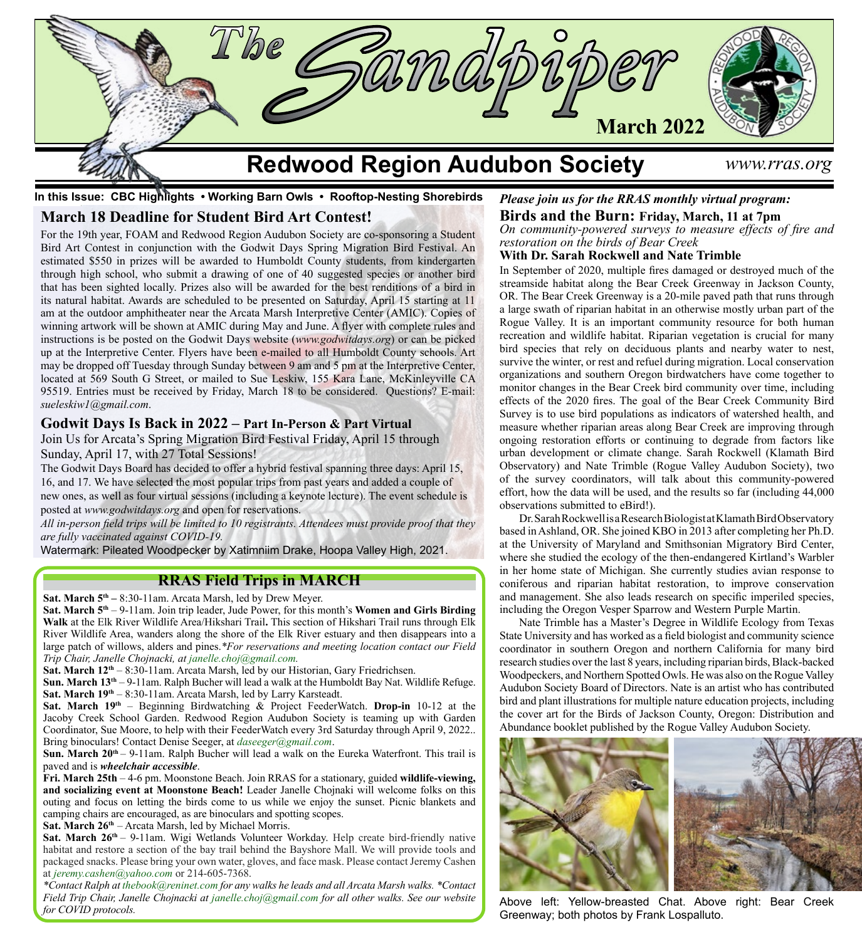

**In this Issue: CBC Highlights • Working Barn Owls • Rooftop-Nesting Shorebirds**

## **March 18 Deadline for Student Bird Art Contest!**

For the 19th year, FOAM and Redwood Region Audubon Society are co-sponsoring a Student Bird Art Contest in conjunction with the Godwit Days Spring Migration Bird Festival. An estimated \$550 in prizes will be awarded to Humboldt County students, from kindergarten through high school, who submit a drawing of one of 40 suggested species or another bird that has been sighted locally. Prizes also will be awarded for the best renditions of a bird in its natural habitat. Awards are scheduled to be presented on Saturday, April 15 starting at 11 am at the outdoor amphitheater near the Arcata Marsh Interpretive Center (AMIC). Copies of winning artwork will be shown at AMIC during May and June. A flyer with complete rules and instructions is be posted on the Godwit Days website (*www.godwitdays.org*) or can be picked up at the Interpretive Center. Flyers have been e-mailed to all Humboldt County schools. Art may be dropped off Tuesday through Sunday between 9 am and 5 pm at the Interpretive Center, located at 569 South G Street, or mailed to Sue Leskiw, 155 Kara Lane, McKinleyville CA 95519. Entries must be received by Friday, March 18 to be considered. Questions? E-mail: *sueleskiw1@gmail.com*.

### **Godwit Days Is Back in 2022 – Part In-Person & Part Virtual**

Join Us for Arcata's Spring Migration Bird Festival Friday, April 15 through Sunday, April 17, with 27 Total Sessions!

The Godwit Days Board has decided to offer a hybrid festival spanning three days: April 15, 16, and 17. We have selected the most popular trips from past years and added a couple of new ones, as well as four virtual sessions (including a keynote lecture). The event schedule is posted at *[www.godwitdays.org](http://www.godwitdays.org)* and open for reservations.

*All in-person field trips will be limited to 10 registrants. Attendees must provide proof that they are fully vaccinated against COVID-19.*

Watermark: Pileated Woodpecker by Xatimniim Drake, Hoopa Valley High, 2021.

## **RRAS Field Trips in MARCH**

**Sat. March 5th –** 8:30-11am. Arcata Marsh, led by Drew Meyer.

**Sat. March 5<sup>th</sup> – 9-11am. Join trip leader, Jude Power, for this month's Women and Girls Birding Walk** at the Elk River Wildlife Area/Hikshari Trail**.** This section of Hikshari Trail runs through Elk River Wildlife Area, wanders along the shore of the Elk River estuary and then disappears into a large patch of willows, alders and pines.*\*For reservations and meeting location contact our Field Trip Chair, Janelle Chojnacki, at [janelle.choj@gmail.com.](mailto:janelle.choj%40gmail.com?subject=)*

**Sat. March 12th** – 8:30-11am. Arcata Marsh, led by our Historian, Gary Friedrichsen.

**Sun. March 13th** – 9-11am. Ralph Bucher will lead a walk at the Humboldt Bay Nat. Wildlife Refuge. **Sat. March 19th** – 8:30-11am. Arcata Marsh, led by Larry Karsteadt.

**Sat. March 19th** – Beginning Birdwatching & Project FeederWatch. **Drop-in** 10-12 at the Jacoby Creek School Garden. Redwood Region Audubon Society is teaming up with Garden Coordinator, Sue Moore, to help with their FeederWatch every 3rd Saturday through April 9, 2022.. Bring binoculars! Contact Denise Seeger, at *[daseeger@gmail.com](mailto:daseeger%40gmail.com?subject=)*.

**Sun. March 20<sup>th</sup>** – 9-11am. Ralph Bucher will lead a walk on the Eureka Waterfront. This trail is paved and is *wheelchair accessible*.

**Fri. March 25th** – 4-6 pm. Moonstone Beach. Join RRAS for a stationary, guided **wildlife-viewing, and socializing event at Moonstone Beach!** Leader Janelle Chojnaki will welcome folks on this outing and focus on letting the birds come to us while we enjoy the sunset. Picnic blankets and camping chairs are encouraged, as are binoculars and spotting scopes.

Sat. March 26<sup>th</sup> – Arcata Marsh, led by Michael Morris.

**Sat. March 26<sup>th</sup>** – 9-11am. Wigi Wetlands Volunteer Workday. Help create bird-friendly native habitat and restore a section of the bay trail behind the Bayshore Mall. We will provide tools and packaged snacks. Please bring your own water, gloves, and face mask. Please contact Jeremy Cashen at *[jeremy.cashen@yahoo.com](mailto:jeremy.cashen%40yahoo.com?subject=)* or 214-605-7368.

*\*Contact Ralph at [thebook@reninet.com](mailto:thebook%40reninet.com?subject=) for any walks he leads and all Arcata Marsh walks. \*Contact Field Trip Chair, Janelle Chojnacki at [janelle.choj@gmail.com](mailto:janelle.choj%40gmail.com?subject=) for all other walks. See our website for COVID protocols.*

### *Please join us for the RRAS monthly virtual program:* **Birds and the Burn: Friday, March, 11 at 7pm**

*On community-powered surveys to measure effects of fire and restoration on the birds of Bear Creek*

### **With Dr. Sarah Rockwell and Nate Trimble**

In September of 2020, multiple fires damaged or destroyed much of the streamside habitat along the Bear Creek Greenway in Jackson County, OR. The Bear Creek Greenway is a 20-mile paved path that runs through a large swath of riparian habitat in an otherwise mostly urban part of the Rogue Valley. It is an important community resource for both human recreation and wildlife habitat. Riparian vegetation is crucial for many bird species that rely on deciduous plants and nearby water to nest, survive the winter, or rest and refuel during migration. Local conservation organizations and southern Oregon birdwatchers have come together to monitor changes in the Bear Creek bird community over time, including effects of the 2020 fires. The goal of the Bear Creek Community Bird Survey is to use bird populations as indicators of watershed health, and measure whether riparian areas along Bear Creek are improving through ongoing restoration efforts or continuing to degrade from factors like urban development or climate change. Sarah Rockwell (Klamath Bird Observatory) and Nate Trimble (Rogue Valley Audubon Society), two of the survey coordinators, will talk about this community-powered effort, how the data will be used, and the results so far (including 44,000 observations submitted to eBird!).

Dr. Sarah Rockwell is a Research Biologist at Klamath Bird Observatory based in Ashland, OR. She joined KBO in 2013 after completing her Ph.D. at the University of Maryland and Smithsonian Migratory Bird Center, where she studied the ecology of the then-endangered Kirtland's Warbler in her home state of Michigan. She currently studies avian response to coniferous and riparian habitat restoration, to improve conservation and management. She also leads research on specific imperiled species, including the Oregon Vesper Sparrow and Western Purple Martin.

Nate Trimble has a Master's Degree in Wildlife Ecology from Texas State University and has worked as a field biologist and community science coordinator in southern Oregon and northern California for many bird research studies over the last 8 years, including riparian birds, Black-backed Woodpeckers, and Northern Spotted Owls. He was also on the Rogue Valley Audubon Society Board of Directors. Nate is an artist who has contributed bird and plant illustrations for multiple nature education projects, including the cover art for the Birds of Jackson County, Oregon: Distribution and Abundance booklet published by the Rogue Valley Audubon Society.



Above left: Yellow-breasted Chat. Above right: Bear Creek Greenway; both photos by Frank Lospalluto.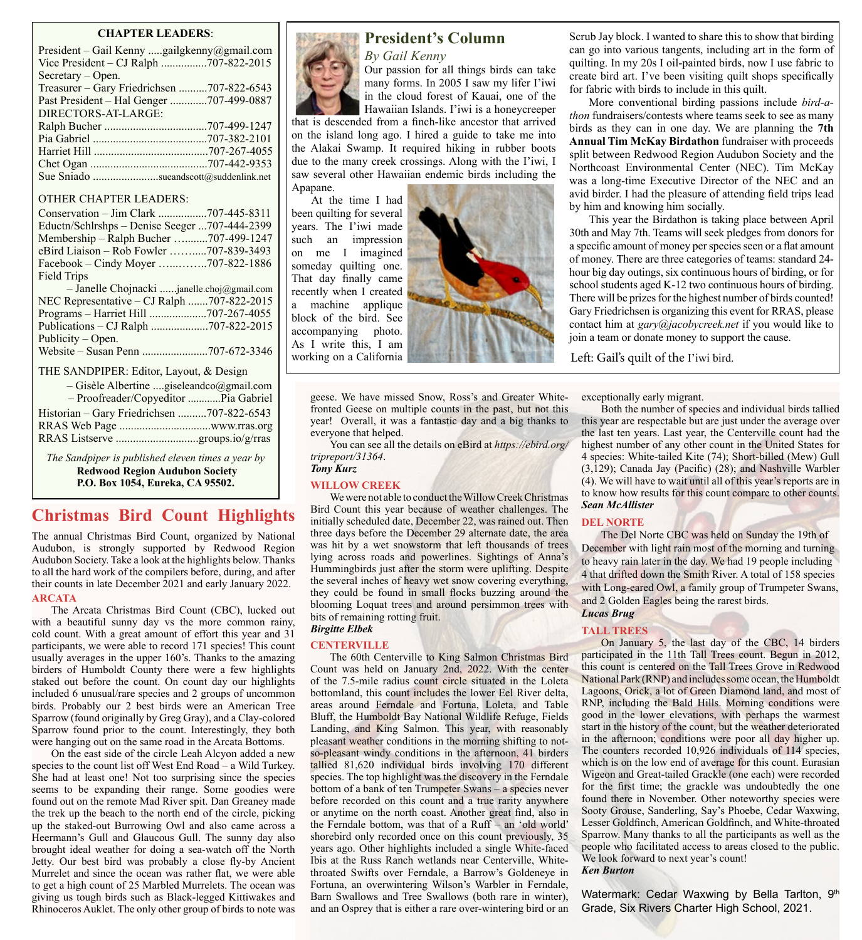### **CHAPTER LEADERS**:

| President - Gail Kenny gailgkenny@gmail.com |
|---------------------------------------------|
| Vice President – CJ Ralph 707-822-2015      |
| $Sercetary - Open.$                         |
| Treasurer – Gary Friedrichsen 707-822-6543  |
| Past President – Hal Genger 707-499-0887    |
| DIRECTORS-AT-LARGE:                         |
|                                             |
|                                             |
|                                             |
|                                             |
| Sue Sniado sueandscott@suddenlink.net       |

### OTHER CHAPTER LEADERS:

| $-1$ Toon cause / Copycultor  The Gabriel                                                                                                                                                                                           |  |
|-------------------------------------------------------------------------------------------------------------------------------------------------------------------------------------------------------------------------------------|--|
| Historian – Gary Friedrichsen 707-822-6543                                                                                                                                                                                          |  |
|                                                                                                                                                                                                                                     |  |
|                                                                                                                                                                                                                                     |  |
| $\tau$ and $\alpha$ in the set of the field of the field of the set of the set of the set of the set of the set of the set of the set of the set of the set of the set of the set of the set of the set of the set of the set of th |  |

*The Sandpiper is published eleven times a year by* **Redwood Region Audubon Society P.O. Box 1054, Eureka, CA 95502.**

# **Christmas Bird Count Highlights**

The annual Christmas Bird Count, organized by National Audubon, is strongly supported by Redwood Region Audubon Society. Take a look at the highlights below. Thanks to all the hard work of the compilers before, during, and after their counts in late December 2021 and early January 2022. **ARCATA**

The Arcata Christmas Bird Count (CBC), lucked out with a beautiful sunny day vs the more common rainy, cold count. With a great amount of effort this year and 31 participants, we were able to record 171 species! This count usually averages in the upper 160's. Thanks to the amazing birders of Humboldt County there were a few highlights staked out before the count. On count day our highlights included 6 unusual/rare species and 2 groups of uncommon birds. Probably our 2 best birds were an American Tree Sparrow (found originally by Greg Gray), and a Clay-colored Sparrow found prior to the count. Interestingly, they both were hanging out on the same road in the Arcata Bottoms.

On the east side of the circle Leah Alcyon added a new species to the count list off West End Road – a Wild Turkey. She had at least one! Not too surprising since the species seems to be expanding their range. Some goodies were found out on the remote Mad River spit. Dan Greaney made the trek up the beach to the north end of the circle, picking up the staked-out Burrowing Owl and also came across a Heermann's Gull and Glaucous Gull. The sunny day also brought ideal weather for doing a sea-watch off the North Jetty. Our best bird was probably a close fly-by Ancient Murrelet and since the ocean was rather flat, we were able to get a high count of 25 Marbled Murrelets. The ocean was giving us tough birds such as Black-legged Kittiwakes and Rhinoceros Auklet. The only other group of birds to note was



# **President's Column**

*By Gail Kenny* Our passion for all things birds can take many forms. In 2005 I saw my lifer I'iwi in the cloud forest of Kauai, one of the Hawaiian Islands. I'iwi is a honeycreeper

that is descended from a finch-like ancestor that arrived on the island long ago. I hired a guide to take me into the Alakai Swamp. It required hiking in rubber boots due to the many creek crossings. Along with the I'iwi, I saw several other Hawaiian endemic birds including the Apapane.

At the time I had been quilting for several years. The I'iwi made such an impression on me I imagined someday quilting one. That day finally came recently when I created a machine applique block of the bird. See accompanying photo. As I write this, I am working on a California



geese. We have missed Snow, Ross's and Greater Whitefronted Geese on multiple counts in the past, but not this year! Overall, it was a fantastic day and a big thanks to everyone that helped.

You can see all the details on eBird at *https[://ebird.org/](http:////ebird.org/tripreport/31364.) [tripreport/31364](http:////ebird.org/tripreport/31364.)*. *Tony Kurz*

#### **WILLOW CREEK**

We were not able to conduct the Willow Creek Christmas Bird Count this year because of weather challenges. The initially scheduled date, December 22, was rained out. Then three days before the December 29 alternate date, the area was hit by a wet snowstorm that left thousands of trees lying across roads and powerlines. Sightings of Anna's Hummingbirds just after the storm were uplifting. Despite the several inches of heavy wet snow covering everything, they could be found in small flocks buzzing around the blooming Loquat trees and around persimmon trees with bits of remaining rotting fruit.

### *Birgitte Elbek* **CENTERVILLE**

The 60th Centerville to King Salmon Christmas Bird Count was held on January 2nd, 2022. With the center of the 7.5-mile radius count circle situated in the Loleta bottomland, this count includes the lower Eel River delta, areas around Ferndale and Fortuna, Loleta, and Table Bluff, the Humboldt Bay National Wildlife Refuge, Fields Landing, and King Salmon. This year, with reasonably pleasant weather conditions in the morning shifting to notso-pleasant windy conditions in the afternoon, 41 birders tallied 81,620 individual birds involving 170 different species. The top highlight was the discovery in the Ferndale bottom of a bank of ten Trumpeter Swans – a species never before recorded on this count and a true rarity anywhere or anytime on the north coast. Another great find, also in the Ferndale bottom, was that of a Ruff – an 'old world' shorebird only recorded once on this count previously, 35 years ago. Other highlights included a single White-faced Ibis at the Russ Ranch wetlands near Centerville, Whitethroated Swifts over Ferndale, a Barrow's Goldeneye in Fortuna, an overwintering Wilson's Warbler in Ferndale, Barn Swallows and Tree Swallows (both rare in winter), and an Osprey that is either a rare over-wintering bird or an

Scrub Jay block. I wanted to share this to show that birding can go into various tangents, including art in the form of quilting. In my 20s I oil-painted birds, now I use fabric to create bird art. I've been visiting quilt shops specifically for fabric with birds to include in this quilt.

More conventional birding passions include *bird-athon* fundraisers/contests where teams seek to see as many birds as they can in one day. We are planning the **7th Annual Tim McKay Birdathon** fundraiser with proceeds split between Redwood Region Audubon Society and the Northcoast Environmental Center (NEC). Tim McKay was a long-time Executive Director of the NEC and an avid birder. I had the pleasure of attending field trips lead by him and knowing him socially.

This year the Birdathon is taking place between April 30th and May 7th. Teams will seek pledges from donors for a specific amount of money per species seen or a flat amount of money. There are three categories of teams: standard 24 hour big day outings, six continuous hours of birding, or for school students aged K-12 two continuous hours of birding. There will be prizes for the highest number of birds counted! Gary Friedrichsen is organizing this event for RRAS, please contact him at *gary@jacobycreek.net* if you would like to join a team or donate money to support the cause.

Left: Gail's quilt of the I'iwi bird.

exceptionally early migrant.

Both the number of species and individual birds tallied this year are respectable but are just under the average over the last ten years. Last year, the Centerville count had the highest number of any other count in the United States for 4 species: White-tailed Kite (74); Short-billed (Mew) Gull (3,129); Canada Jay (Pacific) (28); and Nashville Warbler (4). We will have to wait until all of this year's reports are in to know how results for this count compare to other counts. *Sean McAllister*

#### **DEL NORTE**

The Del Norte CBC was held on Sunday the 19th of December with light rain most of the morning and turning to heavy rain later in the day. We had 19 people including 4 that drifted down the Smith River. A total of 158 species with Long-eared Owl, a family group of Trumpeter Swans, and 2 Golden Eagles being the rarest birds.

### *Lucas Brug*

#### **TALL TREES**

On January 5, the last day of the CBC, 14 birders participated in the 11th Tall Trees count. Begun in 2012, this count is centered on the Tall Trees Grove in Redwood National Park (RNP) and includes some ocean, the Humboldt Lagoons, Orick, a lot of Green Diamond land, and most of RNP, including the Bald Hills. Morning conditions were good in the lower elevations, with perhaps the warmest start in the history of the count, but the weather deteriorated in the afternoon; conditions were poor all day higher up. The counters recorded 10,926 individuals of 114 species, which is on the low end of average for this count. Eurasian Wigeon and Great-tailed Grackle (one each) were recorded for the first time; the grackle was undoubtedly the one found there in November. Other noteworthy species were Sooty Grouse, Sanderling, Say's Phoebe, Cedar Waxwing, Lesser Goldfinch, American Goldfinch, and White-throated Sparrow. Many thanks to all the participants as well as the people who facilitated access to areas closed to the public. We look forward to next year's count! *Ken Burton*

Watermark: Cedar Waxwing by Bella Tarlton, 9th Grade, Six Rivers Charter High School, 2021.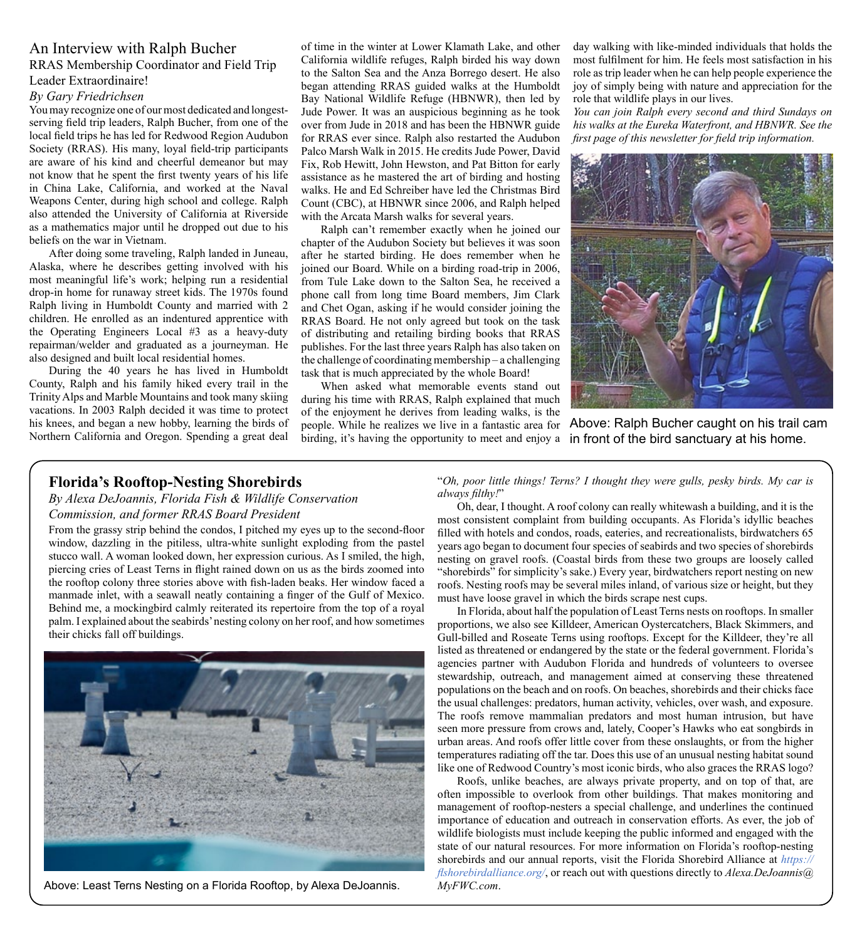## An Interview with Ralph Bucher RRAS Membership Coordinator and Field Trip Leader Extraordinaire!

### *By Gary Friedrichsen*

You may recognize one of our most dedicated and longestserving field trip leaders, Ralph Bucher, from one of the local field trips he has led for Redwood Region Audubon Society (RRAS). His many, loyal field-trip participants are aware of his kind and cheerful demeanor but may not know that he spent the first twenty years of his life in China Lake, California, and worked at the Naval Weapons Center, during high school and college. Ralph also attended the University of California at Riverside as a mathematics major until he dropped out due to his beliefs on the war in Vietnam.

After doing some traveling, Ralph landed in Juneau, Alaska, where he describes getting involved with his most meaningful life's work; helping run a residential drop-in home for runaway street kids. The 1970s found Ralph living in Humboldt County and married with 2 children. He enrolled as an indentured apprentice with the Operating Engineers Local #3 as a heavy-duty repairman/welder and graduated as a journeyman. He also designed and built local residential homes.

During the 40 years he has lived in Humboldt County, Ralph and his family hiked every trail in the Trinity Alps and Marble Mountains and took many skiing vacations. In 2003 Ralph decided it was time to protect his knees, and began a new hobby, learning the birds of Northern California and Oregon. Spending a great deal

of time in the winter at Lower Klamath Lake, and other California wildlife refuges, Ralph birded his way down to the Salton Sea and the Anza Borrego desert. He also began attending RRAS guided walks at the Humboldt Bay National Wildlife Refuge (HBNWR), then led by Jude Power. It was an auspicious beginning as he took over from Jude in 2018 and has been the HBNWR guide for RRAS ever since. Ralph also restarted the Audubon Palco Marsh Walk in 2015. He credits Jude Power, David Fix, Rob Hewitt, John Hewston, and Pat Bitton for early assistance as he mastered the art of birding and hosting walks. He and Ed Schreiber have led the Christmas Bird Count (CBC), at HBNWR since 2006, and Ralph helped with the Arcata Marsh walks for several years.

Ralph can't remember exactly when he joined our chapter of the Audubon Society but believes it was soon after he started birding. He does remember when he joined our Board. While on a birding road-trip in 2006, from Tule Lake down to the Salton Sea, he received a phone call from long time Board members, Jim Clark and Chet Ogan, asking if he would consider joining the RRAS Board. He not only agreed but took on the task of distributing and retailing birding books that RRAS publishes. For the last three years Ralph has also taken on the challenge of coordinating membership – a challenging task that is much appreciated by the whole Board!

When asked what memorable events stand out during his time with RRAS, Ralph explained that much of the enjoyment he derives from leading walks, is the birding, it's having the opportunity to meet and enjoy a in front of the bird sanctuary at his home.

day walking with like-minded individuals that holds the most fulfilment for him. He feels most satisfaction in his role as trip leader when he can help people experience the joy of simply being with nature and appreciation for the role that wildlife plays in our lives.

*You can join Ralph every second and third Sundays on his walks at the Eureka Waterfront, and HBNWR. See the first page of this newsletter for field trip information.*



people. While he realizes we live in a fantastic area for Above: Ralph Bucher caught on his trail cam

# **Florida's Rooftop-Nesting Shorebirds**

*By Alexa DeJoannis, Florida Fish & Wildlife Conservation Commission, and former RRAS Board President*

From the grassy strip behind the condos, I pitched my eyes up to the second-floor window, dazzling in the pitiless, ultra-white sunlight exploding from the pastel stucco wall. A woman looked down, her expression curious. As I smiled, the high, piercing cries of Least Terns in flight rained down on us as the birds zoomed into the rooftop colony three stories above with fish-laden beaks. Her window faced a manmade inlet, with a seawall neatly containing a finger of the Gulf of Mexico. Behind me, a mockingbird calmly reiterated its repertoire from the top of a royal palm. I explained about the seabirds' nesting colony on her roof, and how sometimes their chicks fall off buildings.



Above: Least Terns Nesting on a Florida Rooftop, by Alexa DeJoannis. *[MyFWC.com](http://Alexa.DeJoannis@MyFWC.com)*.

"*Oh, poor little things! Terns? I thought they were gulls, pesky birds. My car is always filthy!*"

Oh, dear, I thought. A roof colony can really whitewash a building, and it is the most consistent complaint from building occupants. As Florida's idyllic beaches filled with hotels and condos, roads, eateries, and recreationalists, birdwatchers 65 years ago began to document four species of seabirds and two species of shorebirds nesting on gravel roofs. (Coastal birds from these two groups are loosely called "shorebirds" for simplicity's sake.) Every year, birdwatchers report nesting on new roofs. Nesting roofs may be several miles inland, of various size or height, but they must have loose gravel in which the birds scrape nest cups.

In Florida, about half the population of Least Terns nests on rooftops. In smaller proportions, we also see Killdeer, American Oystercatchers, Black Skimmers, and Gull-billed and Roseate Terns using rooftops. Except for the Killdeer, they're all listed as threatened or endangered by the state or the federal government. Florida's agencies partner with Audubon Florida and hundreds of volunteers to oversee stewardship, outreach, and management aimed at conserving these threatened populations on the beach and on roofs. On beaches, shorebirds and their chicks face the usual challenges: predators, human activity, vehicles, over wash, and exposure. The roofs remove mammalian predators and most human intrusion, but have seen more pressure from crows and, lately, Cooper's Hawks who eat songbirds in urban areas. And roofs offer little cover from these onslaughts, or from the higher temperatures radiating off the tar. Does this use of an unusual nesting habitat sound like one of Redwood Country's most iconic birds, who also graces the RRAS logo?

Roofs, unlike beaches, are always private property, and on top of that, are often impossible to overlook from other buildings. That makes monitoring and management of rooftop-nesters a special challenge, and underlines the continued importance of education and outreach in conservation efforts. As ever, the job of wildlife biologists must include keeping the public informed and engaged with the state of our natural resources. For more information on Florida's rooftop-nesting shorebirds and our annual reports, visit the Florida Shorebird Alliance at *[https://](https://flshorebirdalliance.org/) [flshorebirdalliance.org/](https://flshorebirdalliance.org/)*, or reach out with questions directly to *[Alexa.DeJoannis@](http://Alexa.DeJoannis@MyFWC.com)*